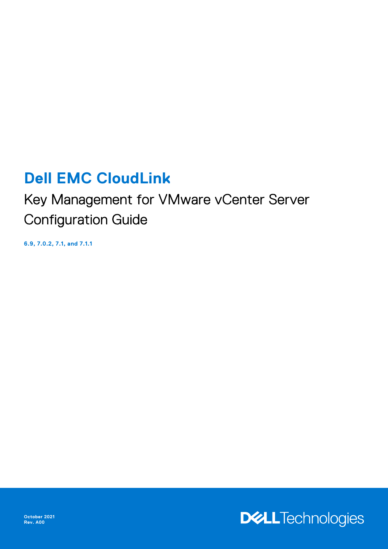# **Dell EMC CloudLink**

Key Management for VMware vCenter Server Configuration Guide

**6.9, 7.0.2, 7.1, and 7.1.1**



**October 2021 Rev. A00**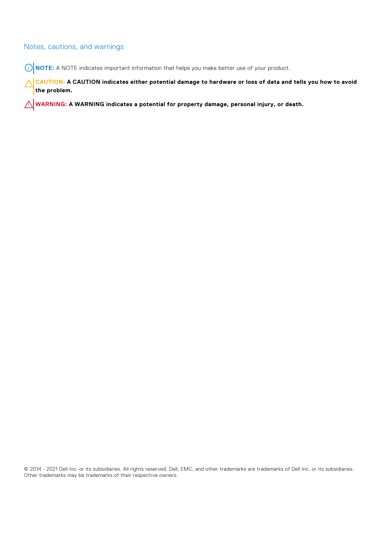### Notes, cautions, and warnings

**NOTE:** A NOTE indicates important information that helps you make better use of your product.

**CAUTION: A CAUTION indicates either potential damage to hardware or loss of data and tells you how to avoid the problem.**

**WARNING: A WARNING indicates a potential for property damage, personal injury, or death.**

© 2014 - 2021 Dell Inc. or its subsidiaries. All rights reserved. Dell, EMC, and other trademarks are trademarks of Dell Inc. or its subsidiaries. Other trademarks may be trademarks of their respective owners.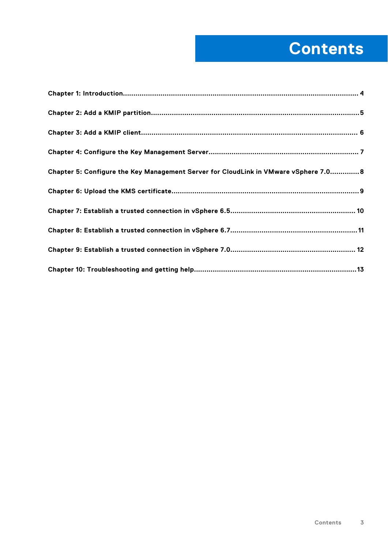# **Contents**

| Chapter 5: Configure the Key Management Server for CloudLink in VMware vSphere 7.0 8 |
|--------------------------------------------------------------------------------------|
|                                                                                      |
|                                                                                      |
|                                                                                      |
|                                                                                      |
|                                                                                      |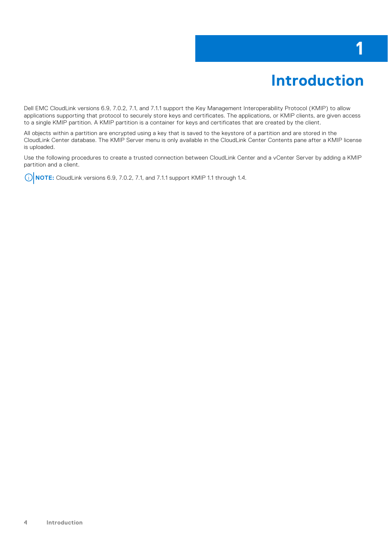### **Introduction**

**1**

<span id="page-3-0"></span>Dell EMC CloudLink versions 6.9, 7.0.2, 7.1, and 7.1.1 support the Key Management Interoperability Protocol (KMIP) to allow applications supporting that protocol to securely store keys and certificates. The applications, or KMIP clients, are given access to a single KMIP partition. A KMIP partition is a container for keys and certificates that are created by the client.

All objects within a partition are encrypted using a key that is saved to the keystore of a partition and are stored in the CloudLink Center database. The KMIP Server menu is only available in the CloudLink Center Contents pane after a KMIP license is uploaded.

Use the following procedures to create a trusted connection between CloudLink Center and a vCenter Server by adding a KMIP partition and a client.

**NOTE:** CloudLink versions 6.9, 7.0.2, 7.1, and 7.1.1 support KMIP 1.1 through 1.4.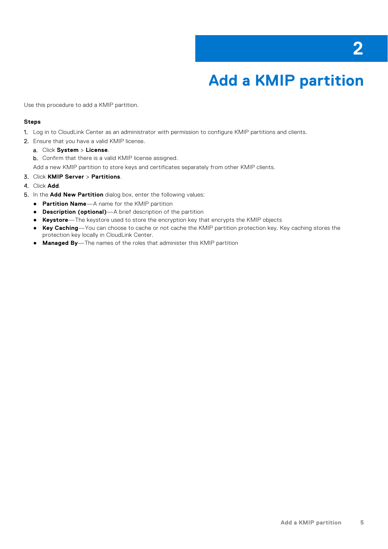# **Add a KMIP partition**

<span id="page-4-0"></span>Use this procedure to add a KMIP partition.

### **Steps**

- 1. Log in to CloudLink Center as an administrator with permission to configure KMIP partitions and clients.
- 2. Ensure that you have a valid KMIP license.
	- a. Click **System** > **License**.

b. Confirm that there is a valid KMIP license assigned.

Add a new KMIP partition to store keys and certificates separately from other KMIP clients.

- 3. Click **KMIP Server** > **Partitions**.
- 4. Click **Add**.
- 5. In the **Add New Partition** dialog box, enter the following values:
	- **Partition Name**—A name for the KMIP partition
	- **Description (optional)**—A brief description of the partition
	- **Keystore**—The keystore used to store the encryption key that encrypts the KMIP objects
	- **Key Caching**—You can choose to cache or not cache the KMIP partition protection key. Key caching stores the protection key locally in CloudLink Center.
	- **Managed By**—The names of the roles that administer this KMIP partition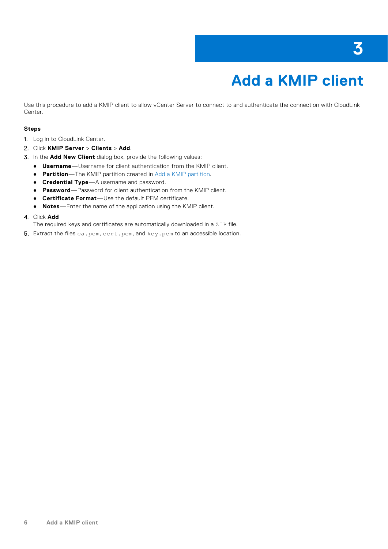# **Add a KMIP client**

<span id="page-5-0"></span>Use this procedure to add a KMIP client to allow vCenter Server to connect to and authenticate the connection with CloudLink Center.

### **Steps**

- 1. Log in to CloudLink Center.
- 2. Click **KMIP Server** > **Clients** > **Add**.
- 3. In the **Add New Client** dialog box, provide the following values:
	- **Username**—Username for client authentication from the KMIP client.
	- **Partition**—The KMIP partition created in [Add a KMIP partition](#page-4-0).
	- **Credential Type**—A username and password.
	- **Password**—Password for client authentication from the KMIP client.
	- **Certificate Format**—Use the default PEM certificate.
	- **Notes**—Enter the name of the application using the KMIP client.

### 4. Click **Add**

The required keys and certificates are automatically downloaded in a ZIP file.

5. Extract the files ca.pem, cert.pem, and key.pem to an accessible location.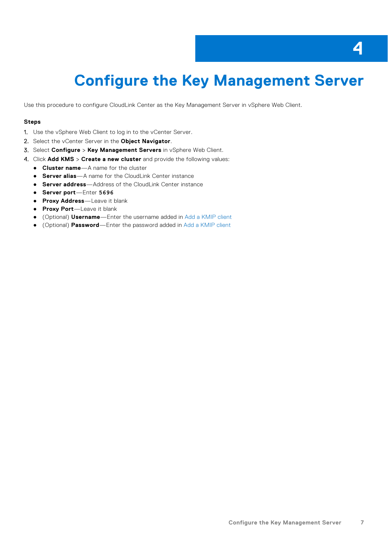# <span id="page-6-0"></span>**Configure the Key Management Server**

Use this procedure to configure CloudLink Center as the Key Management Server in vSphere Web Client.

#### **Steps**

- 1. Use the vSphere Web Client to log in to the vCenter Server.
- 2. Select the vCenter Server in the **Object Navigator**.
- 3. Select **Configure** > **Key Management Servers** in vSphere Web Client.
- 4. Click **Add KMS** > **Create a new cluster** and provide the following values:
	- **Cluster name**—A name for the cluster
	- **Server alias**—A name for the CloudLink Center instance
	- **Server address**—Address of the CloudLink Center instance
	- **Server port**—Enter **5696**
	- **Proxy Address**—Leave it blank
	- **Proxy Port**—Leave it blank
	- (Optional) **Username**—Enter the username added in [Add a KMIP client](#page-5-0)
	- (Optional) **Password**—Enter the password added in [Add a KMIP client](#page-5-0)

**4**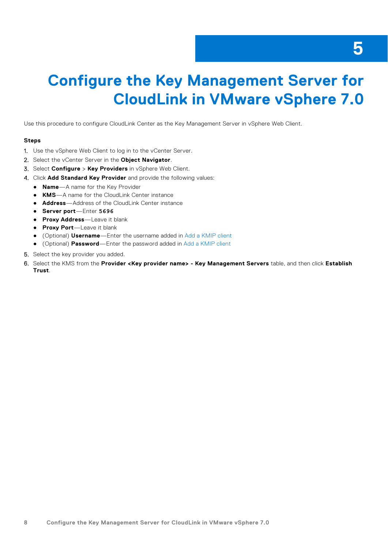### **5**

### <span id="page-7-0"></span>**Configure the Key Management Server for CloudLink in VMware vSphere 7.0**

Use this procedure to configure CloudLink Center as the Key Management Server in vSphere Web Client.

- 1. Use the vSphere Web Client to log in to the vCenter Server.
- 2. Select the vCenter Server in the **Object Navigator**.
- 3. Select **Configure** > **Key Providers** in vSphere Web Client.
- 4. Click **Add Standard Key Provider** and provide the following values:
	- **Name**—A name for the Key Provider
	- **KMS**—A name for the CloudLink Center instance
	- **Address**—Address of the CloudLink Center instance
	- **Server port**—Enter **5696**
	- **Proxy Address**—Leave it blank
	- **Proxy Port**—Leave it blank
	- (Optional) **Username**—Enter the username added in [Add a KMIP client](#page-5-0)
	- (Optional) **Password**—Enter the password added in [Add a KMIP client](#page-5-0)
- 5. Select the key provider you added.
- 6. Select the KMS from the **Provider <Key provider name> Key Management Servers** table, and then click **Establish Trust**.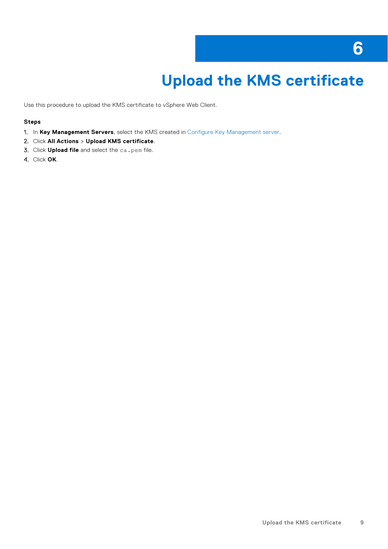### **6**

# **Upload the KMS certificate**

<span id="page-8-0"></span>Use this procedure to upload the KMS certificate to vSphere Web Client.

- 1. In **Key Management Servers**, select the KMS created in [Configure Key Management server](#page-6-0).
- 2. Click **All Actions** > **Upload KMS certificate**.
- 3. Click **Upload file** and select the ca.pem file.
- 4. Click **OK**.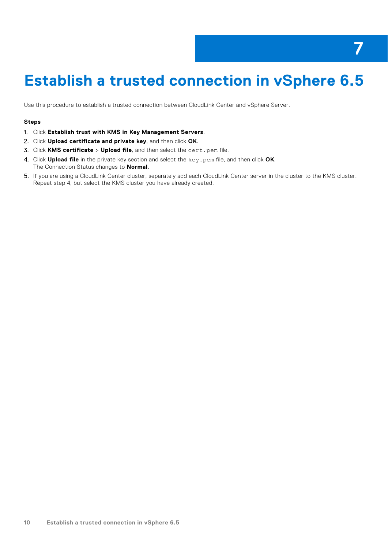## <span id="page-9-0"></span>**Establish a trusted connection in vSphere 6.5**

Use this procedure to establish a trusted connection between CloudLink Center and vSphere Server.

- 1. Click **Establish trust with KMS in Key Management Servers**.
- 2. Click **Upload certificate and private key**, and then click **OK**.
- 3. Click **KMS certificate** > **Upload file**, and then select the cert.pem file.
- 4. Click **Upload file** in the private key section and select the key.pem file, and then click **OK**. The Connection Status changes to **Normal**.
- 5. If you are using a CloudLink Center cluster, separately add each CloudLink Center server in the cluster to the KMS cluster. Repeat step 4, but select the KMS cluster you have already created.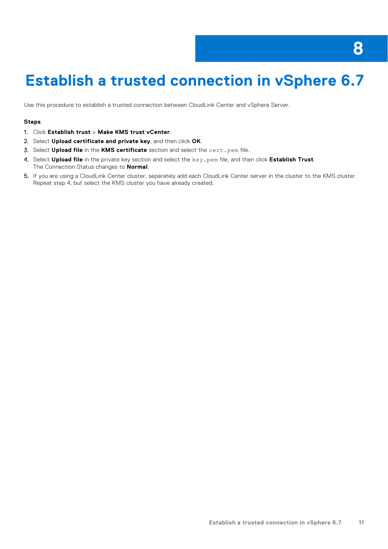# <span id="page-10-0"></span>**Establish a trusted connection in vSphere 6.7**

Use this procedure to establish a trusted connection between CloudLink Center and vSphere Server.

- 1. Click **Establish trust** > **Make KMS trust vCenter**.
- 2. Select **Upload certificate and private key**, and then click **OK**.
- 3. Select **Upload file** in the **KMS certificate** section and select the cert.pem file.
- 4. Select **Upload file** in the private key section and select the key.pem file, and then click **Establish Trust**. The Connection Status changes to **Normal**.
- 5. If you are using a CloudLink Center cluster, separately add each CloudLink Center server in the cluster to the KMS cluster. Repeat step 4, but select the KMS cluster you have already created.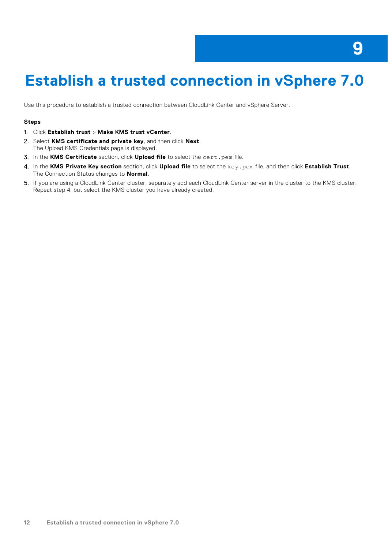# <span id="page-11-0"></span>**Establish a trusted connection in vSphere 7.0**

Use this procedure to establish a trusted connection between CloudLink Center and vSphere Server.

- 1. Click **Establish trust** > **Make KMS trust vCenter**.
- 2. Select **KMS certificate and private key**, and then click **Next**. The Upload KMS Credentials page is displayed.
- 3. In the **KMS Certificate** section, click **Upload file** to select the cert.pem file.
- 4. In the **KMS Private Key section** section, click **Upload file** to select the key.pem file, and then click **Establish Trust**. The Connection Status changes to **Normal**.
- 5. If you are using a CloudLink Center cluster, separately add each CloudLink Center server in the cluster to the KMS cluster. Repeat step 4, but select the KMS cluster you have already created.